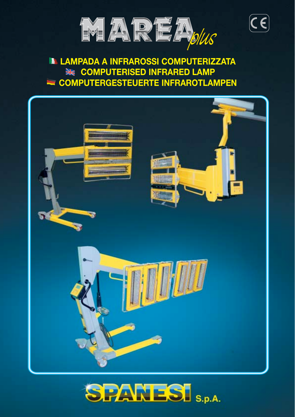

 $\left(\overline{\boldsymbol{\mathsf{c}}}\,\overline{\boldsymbol{\mathsf{c}}}\right)$ 

# **LAMPADA A INFRAROSSI COMPUTERIZZATA EXAMPUTERISED INFRARED LAMP COMPUTERGESTEUERTE INFRAROTLAMPEN**